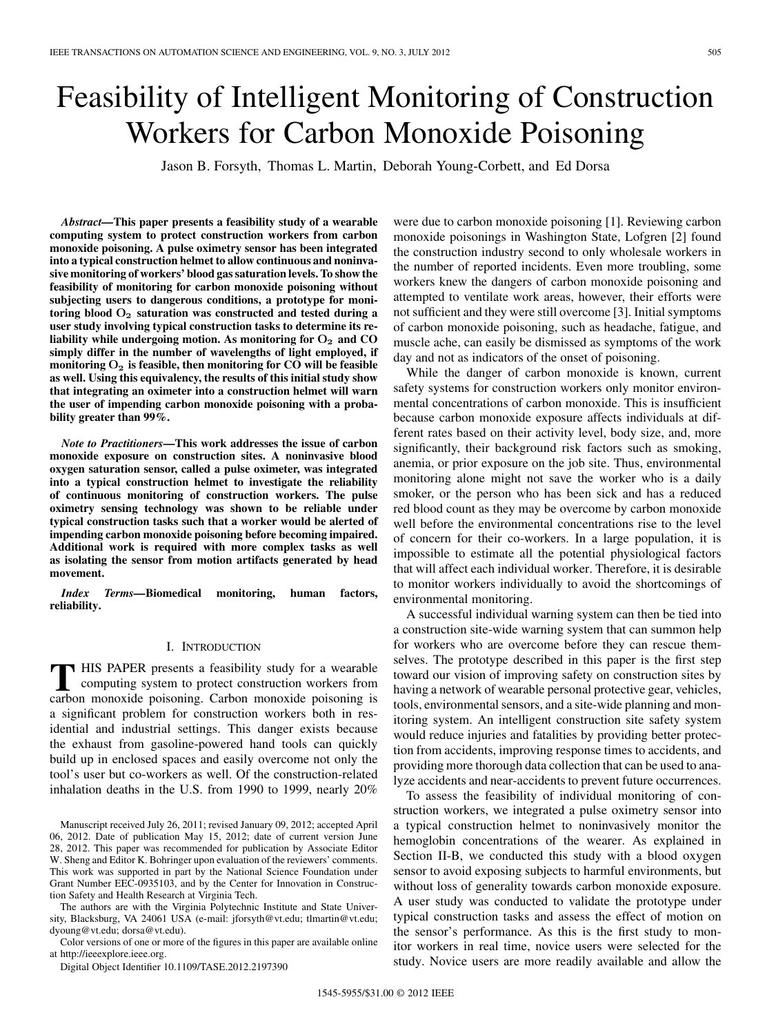# Feasibility of Intelligent Monitoring of Construction Workers for Carbon Monoxide Poisoning

Jason B. Forsyth, Thomas L. Martin, Deborah Young-Corbett, and Ed Dorsa

*Abstract—***This paper presents a feasibility study of a wearable computing system to protect construction workers from carbon monoxide poisoning. A pulse oximetry sensor has been integrated into a typical construction helmet to allow continuous and noninvasive monitoring of workers' blood gas saturation levels. To show the feasibility of monitoring for carbon monoxide poisoning without subjecting users to dangerous conditions, a prototype for moni**toring blood  $\mathcal{O}_2$  saturation was constructed and tested during a **user study involving typical construction tasks to determine its re**liability while undergoing motion. As monitoring for  $O_2$  and  $CO$ **simply differ in the number of wavelengths of light employed, if monitoring is feasible, then monitoring for CO will be feasible as well. Using this equivalency, the results of this initial study show that integrating an oximeter into a construction helmet will warn the user of impending carbon monoxide poisoning with a probability greater than 99%.**

*Note to Practitioners***—This work addresses the issue of carbon monoxide exposure on construction sites. A noninvasive blood oxygen saturation sensor, called a pulse oximeter, was integrated into a typical construction helmet to investigate the reliability of continuous monitoring of construction workers. The pulse oximetry sensing technology was shown to be reliable under typical construction tasks such that a worker would be alerted of impending carbon monoxide poisoning before becoming impaired. Additional work is required with more complex tasks as well as isolating the sensor from motion artifacts generated by head movement.**

*Index Terms—***Biomedical monitoring, human factors, reliability.**

# I. INTRODUCTION

**T** HIS PAPER presents a feasibility study for a wearable<br>computing system to protect construction workers from<br>carbon monoxide poisoning. Carbon monoxide poisoning is carbon monoxide poisoning. Carbon monoxide poisoning is a significant problem for construction workers both in residential and industrial settings. This danger exists because the exhaust from gasoline-powered hand tools can quickly build up in enclosed spaces and easily overcome not only the tool's user but co-workers as well. Of the construction-related inhalation deaths in the U.S. from 1990 to 1999, nearly 20%

The authors are with the Virginia Polytechnic Institute and State University, Blacksburg, VA 24061 USA (e-mail: jforsyth@vt.edu; tlmartin@vt.edu; dyoung@vt.edu; dorsa@vt.edu).

Color versions of one or more of the figures in this paper are available online at http://ieeexplore.ieee.org.

Digital Object Identifier 10.1109/TASE.2012.2197390

were due to carbon monoxide poisoning [1]. Reviewing carbon monoxide poisonings in Washington State, Lofgren [2] found the construction industry second to only wholesale workers in the number of reported incidents. Even more troubling, some workers knew the dangers of carbon monoxide poisoning and attempted to ventilate work areas, however, their efforts were not sufficient and they were still overcome [3]. Initial symptoms of carbon monoxide poisoning, such as headache, fatigue, and muscle ache, can easily be dismissed as symptoms of the work day and not as indicators of the onset of poisoning.

While the danger of carbon monoxide is known, current safety systems for construction workers only monitor environmental concentrations of carbon monoxide. This is insufficient because carbon monoxide exposure affects individuals at different rates based on their activity level, body size, and, more significantly, their background risk factors such as smoking, anemia, or prior exposure on the job site. Thus, environmental monitoring alone might not save the worker who is a daily smoker, or the person who has been sick and has a reduced red blood count as they may be overcome by carbon monoxide well before the environmental concentrations rise to the level of concern for their co-workers. In a large population, it is impossible to estimate all the potential physiological factors that will affect each individual worker. Therefore, it is desirable to monitor workers individually to avoid the shortcomings of environmental monitoring.

A successful individual warning system can then be tied into a construction site-wide warning system that can summon help for workers who are overcome before they can rescue themselves. The prototype described in this paper is the first step toward our vision of improving safety on construction sites by having a network of wearable personal protective gear, vehicles, tools, environmental sensors, and a site-wide planning and monitoring system. An intelligent construction site safety system would reduce injuries and fatalities by providing better protection from accidents, improving response times to accidents, and providing more thorough data collection that can be used to analyze accidents and near-accidents to prevent future occurrences.

To assess the feasibility of individual monitoring of construction workers, we integrated a pulse oximetry sensor into a typical construction helmet to noninvasively monitor the hemoglobin concentrations of the wearer. As explained in Section II-B, we conducted this study with a blood oxygen sensor to avoid exposing subjects to harmful environments, but without loss of generality towards carbon monoxide exposure. A user study was conducted to validate the prototype under typical construction tasks and assess the effect of motion on the sensor's performance. As this is the first study to monitor workers in real time, novice users were selected for the study. Novice users are more readily available and allow the

Manuscript received July 26, 2011; revised January 09, 2012; accepted April 06, 2012. Date of publication May 15, 2012; date of current version June 28, 2012. This paper was recommended for publication by Associate Editor W. Sheng and Editor K. Bohringer upon evaluation of the reviewers' comments. This work was supported in part by the National Science Foundation under Grant Number EEC-0935103, and by the Center for Innovation in Construction Safety and Health Research at Virginia Tech.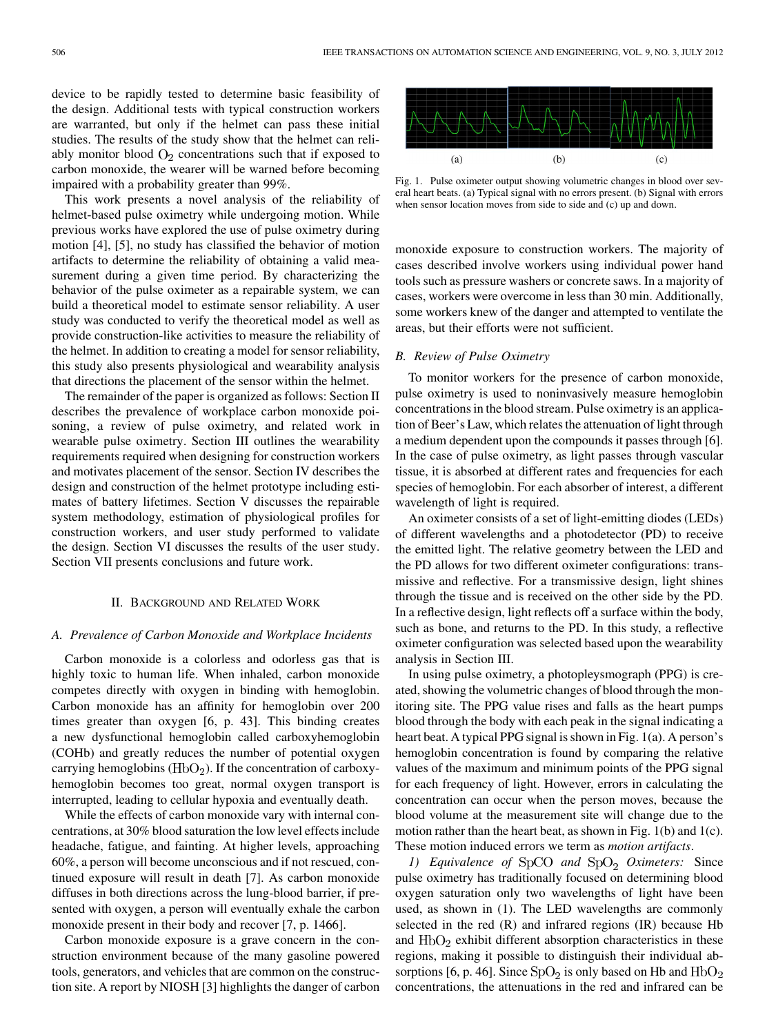device to be rapidly tested to determine basic feasibility of the design. Additional tests with typical construction workers are warranted, but only if the helmet can pass these initial studies. The results of the study show that the helmet can reliably monitor blood  $O_2$  concentrations such that if exposed to carbon monoxide, the wearer will be warned before becoming impaired with a probability greater than 99%.

This work presents a novel analysis of the reliability of helmet-based pulse oximetry while undergoing motion. While previous works have explored the use of pulse oximetry during motion [4], [5], no study has classified the behavior of motion artifacts to determine the reliability of obtaining a valid measurement during a given time period. By characterizing the behavior of the pulse oximeter as a repairable system, we can build a theoretical model to estimate sensor reliability. A user study was conducted to verify the theoretical model as well as provide construction-like activities to measure the reliability of the helmet. In addition to creating a model for sensor reliability, this study also presents physiological and wearability analysis that directions the placement of the sensor within the helmet.

The remainder of the paper is organized as follows: Section II describes the prevalence of workplace carbon monoxide poisoning, a review of pulse oximetry, and related work in wearable pulse oximetry. Section III outlines the wearability requirements required when designing for construction workers and motivates placement of the sensor. Section IV describes the design and construction of the helmet prototype including estimates of battery lifetimes. Section V discusses the repairable system methodology, estimation of physiological profiles for construction workers, and user study performed to validate the design. Section VI discusses the results of the user study. Section VII presents conclusions and future work.

#### II. BACKGROUND AND RELATED WORK

#### *A. Prevalence of Carbon Monoxide and Workplace Incidents*

Carbon monoxide is a colorless and odorless gas that is highly toxic to human life. When inhaled, carbon monoxide competes directly with oxygen in binding with hemoglobin. Carbon monoxide has an affinity for hemoglobin over 200 times greater than oxygen [6, p. 43]. This binding creates a new dysfunctional hemoglobin called carboxyhemoglobin (COHb) and greatly reduces the number of potential oxygen carrying hemoglobins  $(HbO<sub>2</sub>)$ . If the concentration of carboxyhemoglobin becomes too great, normal oxygen transport is interrupted, leading to cellular hypoxia and eventually death.

While the effects of carbon monoxide vary with internal concentrations, at 30% blood saturation the low level effects include headache, fatigue, and fainting. At higher levels, approaching 60%, a person will become unconscious and if not rescued, continued exposure will result in death [7]. As carbon monoxide diffuses in both directions across the lung-blood barrier, if presented with oxygen, a person will eventually exhale the carbon monoxide present in their body and recover [7, p. 1466].

Carbon monoxide exposure is a grave concern in the construction environment because of the many gasoline powered tools, generators, and vehicles that are common on the construction site. A report by NIOSH [3] highlights the danger of carbon



Fig. 1. Pulse oximeter output showing volumetric changes in blood over several heart beats. (a) Typical signal with no errors present. (b) Signal with errors when sensor location moves from side to side and (c) up and down.

monoxide exposure to construction workers. The majority of cases described involve workers using individual power hand tools such as pressure washers or concrete saws. In a majority of cases, workers were overcome in less than 30 min. Additionally, some workers knew of the danger and attempted to ventilate the areas, but their efforts were not sufficient.

# *B. Review of Pulse Oximetry*

To monitor workers for the presence of carbon monoxide, pulse oximetry is used to noninvasively measure hemoglobin concentrations in the blood stream. Pulse oximetry is an application of Beer's Law, which relates the attenuation of light through a medium dependent upon the compounds it passes through [6]. In the case of pulse oximetry, as light passes through vascular tissue, it is absorbed at different rates and frequencies for each species of hemoglobin. For each absorber of interest, a different wavelength of light is required.

An oximeter consists of a set of light-emitting diodes (LEDs) of different wavelengths and a photodetector (PD) to receive the emitted light. The relative geometry between the LED and the PD allows for two different oximeter configurations: transmissive and reflective. For a transmissive design, light shines through the tissue and is received on the other side by the PD. In a reflective design, light reflects off a surface within the body, such as bone, and returns to the PD. In this study, a reflective oximeter configuration was selected based upon the wearability analysis in Section III.

In using pulse oximetry, a photopleysmograph (PPG) is created, showing the volumetric changes of blood through the monitoring site. The PPG value rises and falls as the heart pumps blood through the body with each peak in the signal indicating a heart beat. A typical PPG signal is shown in Fig. 1(a). A person's hemoglobin concentration is found by comparing the relative values of the maximum and minimum points of the PPG signal for each frequency of light. However, errors in calculating the concentration can occur when the person moves, because the blood volume at the measurement site will change due to the motion rather than the heart beat, as shown in Fig. 1(b) and 1(c). These motion induced errors we term as *motion artifacts*.

*1)* Equivalence of SpCO and SpO<sub>2</sub> Oximeters: Since pulse oximetry has traditionally focused on determining blood oxygen saturation only two wavelengths of light have been used, as shown in (1). The LED wavelengths are commonly selected in the red (R) and infrared regions (IR) because Hb and  $HbO<sub>2</sub>$  exhibit different absorption characteristics in these regions, making it possible to distinguish their individual absorptions [6, p. 46]. Since  $SpO<sub>2</sub>$  is only based on Hb and  $HbO<sub>2</sub>$ concentrations, the attenuations in the red and infrared can be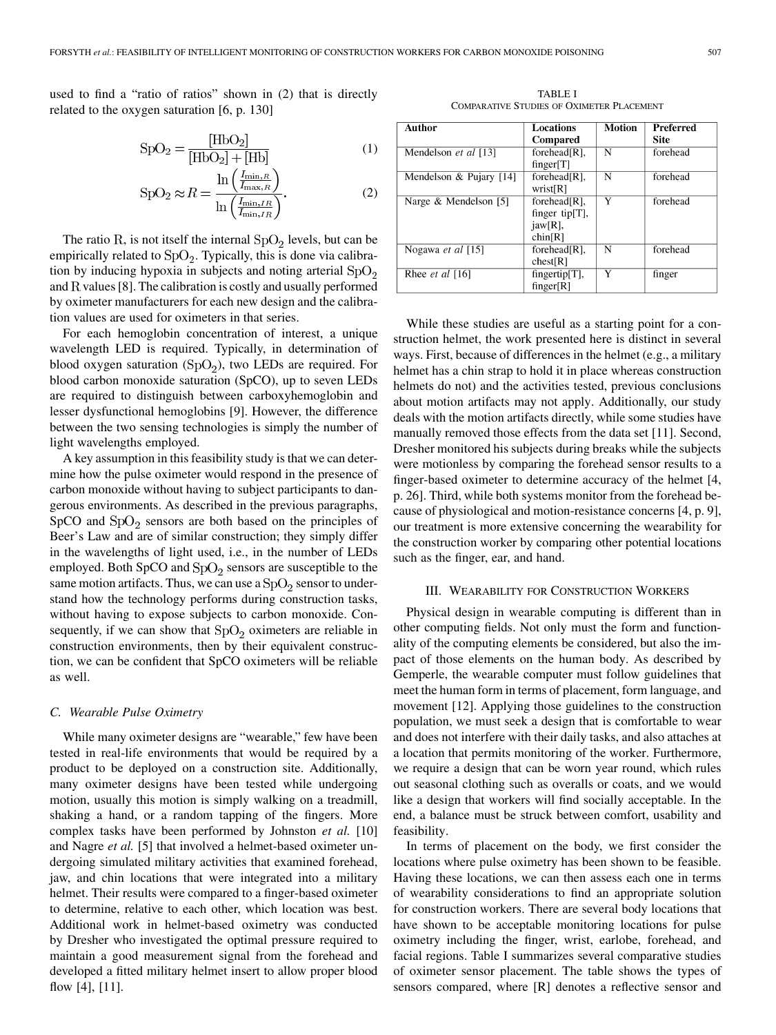used to find a "ratio of ratios" shown in (2) that is directly related to the oxygen saturation [6, p. 130]

$$
SpO2 = \frac{[HbO2]}{[HbO2] + [Hb]}
$$
 (1)

$$
SpO2 \approx R = \frac{\ln\left(\frac{I_{\min,R}}{I_{\max,R}}\right)}{\ln\left(\frac{I_{\min,IR}}{I_{\min,IR}}\right)}.
$$
 (2)

The ratio R, is not itself the internal  $SpO<sub>2</sub>$  levels, but can be empirically related to  $SpO<sub>2</sub>$ . Typically, this is done via calibration by inducing hypoxia in subjects and noting arterial  $SpO<sub>2</sub>$ and  $R$  values [8]. The calibration is costly and usually performed by oximeter manufacturers for each new design and the calibration values are used for oximeters in that series.

For each hemoglobin concentration of interest, a unique wavelength LED is required. Typically, in determination of blood oxygen saturation  $(SpO<sub>2</sub>)$ , two LEDs are required. For blood carbon monoxide saturation (SpCO), up to seven LEDs are required to distinguish between carboxyhemoglobin and lesser dysfunctional hemoglobins [9]. However, the difference between the two sensing technologies is simply the number of light wavelengths employed.

A key assumption in this feasibility study is that we can determine how the pulse oximeter would respond in the presence of carbon monoxide without having to subject participants to dangerous environments. As described in the previous paragraphs, SpCO and  $SpO<sub>2</sub>$  sensors are both based on the principles of Beer's Law and are of similar construction; they simply differ in the wavelengths of light used, i.e., in the number of LEDs employed. Both SpCO and  $SpO<sub>2</sub>$  sensors are susceptible to the same motion artifacts. Thus, we can use a  $SpO<sub>2</sub>$  sensor to understand how the technology performs during construction tasks, without having to expose subjects to carbon monoxide. Consequently, if we can show that  $SpO<sub>2</sub>$  oximeters are reliable in construction environments, then by their equivalent construction, we can be confident that SpCO oximeters will be reliable as well.

# *C. Wearable Pulse Oximetry*

While many oximeter designs are "wearable," few have been tested in real-life environments that would be required by a product to be deployed on a construction site. Additionally, many oximeter designs have been tested while undergoing motion, usually this motion is simply walking on a treadmill, shaking a hand, or a random tapping of the fingers. More complex tasks have been performed by Johnston *et al.* [10] and Nagre *et al.* [5] that involved a helmet-based oximeter undergoing simulated military activities that examined forehead, jaw, and chin locations that were integrated into a military helmet. Their results were compared to a finger-based oximeter to determine, relative to each other, which location was best. Additional work in helmet-based oximetry was conducted by Dresher who investigated the optimal pressure required to maintain a good measurement signal from the forehead and developed a fitted military helmet insert to allow proper blood flow [4], [11].

TABLE I COMPARATIVE STUDIES OF OXIMETER PLACEMENT

| Author                  | <b>Locations</b>         | <b>Motion</b> | <b>Preferred</b> |  |
|-------------------------|--------------------------|---------------|------------------|--|
|                         | <b>Compared</b>          |               | <b>Site</b>      |  |
| Mendelson et al [13]    | forehead[R],             | N             | forehead         |  |
|                         | finger[T]                |               |                  |  |
| Mendelson & Pujary [14] | forehead $[R$ ],         | N             | forehead         |  |
|                         | wrist[R]                 |               |                  |  |
| Narge & Mendelson [5]   | forehead[R],             | Y             | forehead         |  |
|                         | finger tip $[T]$ ,       |               |                  |  |
|                         | $iaw[R]$ ,               |               |                  |  |
|                         | chin[R]                  |               |                  |  |
| Nogawa et al [15]       | forehead[R],             | N             | forehead         |  |
|                         | chest[R]                 |               |                  |  |
| Rhee et al [16]         | $f{\text{in}gertip}[T],$ |               | finger           |  |
|                         | finger[ $R$ ]            |               |                  |  |

While these studies are useful as a starting point for a construction helmet, the work presented here is distinct in several ways. First, because of differences in the helmet (e.g., a military helmet has a chin strap to hold it in place whereas construction helmets do not) and the activities tested, previous conclusions about motion artifacts may not apply. Additionally, our study deals with the motion artifacts directly, while some studies have manually removed those effects from the data set [11]. Second, Dresher monitored his subjects during breaks while the subjects were motionless by comparing the forehead sensor results to a finger-based oximeter to determine accuracy of the helmet [4, p. 26]. Third, while both systems monitor from the forehead because of physiological and motion-resistance concerns [4, p. 9], our treatment is more extensive concerning the wearability for the construction worker by comparing other potential locations such as the finger, ear, and hand.

## III. WEARABILITY FOR CONSTRUCTION WORKERS

Physical design in wearable computing is different than in other computing fields. Not only must the form and functionality of the computing elements be considered, but also the impact of those elements on the human body. As described by Gemperle, the wearable computer must follow guidelines that meet the human form in terms of placement, form language, and movement [12]. Applying those guidelines to the construction population, we must seek a design that is comfortable to wear and does not interfere with their daily tasks, and also attaches at a location that permits monitoring of the worker. Furthermore, we require a design that can be worn year round, which rules out seasonal clothing such as overalls or coats, and we would like a design that workers will find socially acceptable. In the end, a balance must be struck between comfort, usability and feasibility.

In terms of placement on the body, we first consider the locations where pulse oximetry has been shown to be feasible. Having these locations, we can then assess each one in terms of wearability considerations to find an appropriate solution for construction workers. There are several body locations that have shown to be acceptable monitoring locations for pulse oximetry including the finger, wrist, earlobe, forehead, and facial regions. Table I summarizes several comparative studies of oximeter sensor placement. The table shows the types of sensors compared, where [R] denotes a reflective sensor and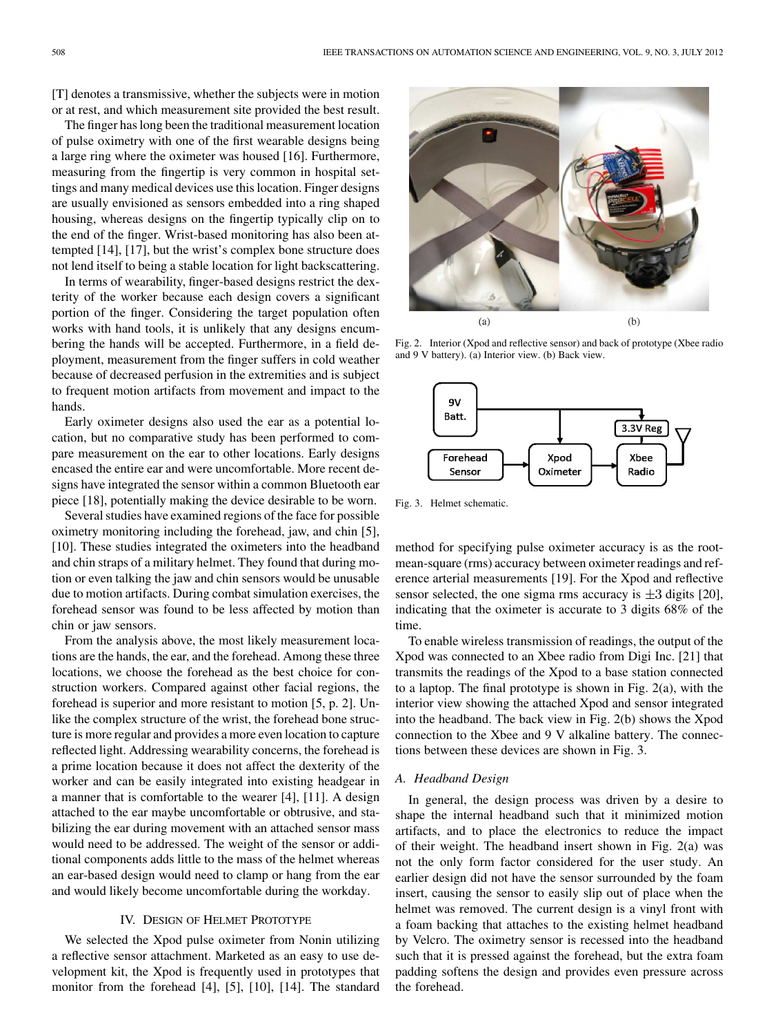[T] denotes a transmissive, whether the subjects were in motion or at rest, and which measurement site provided the best result.

The finger has long been the traditional measurement location of pulse oximetry with one of the first wearable designs being a large ring where the oximeter was housed [16]. Furthermore, measuring from the fingertip is very common in hospital settings and many medical devices use this location. Finger designs are usually envisioned as sensors embedded into a ring shaped housing, whereas designs on the fingertip typically clip on to the end of the finger. Wrist-based monitoring has also been attempted [14], [17], but the wrist's complex bone structure does not lend itself to being a stable location for light backscattering.

In terms of wearability, finger-based designs restrict the dexterity of the worker because each design covers a significant portion of the finger. Considering the target population often works with hand tools, it is unlikely that any designs encumbering the hands will be accepted. Furthermore, in a field deployment, measurement from the finger suffers in cold weather because of decreased perfusion in the extremities and is subject to frequent motion artifacts from movement and impact to the hands.

Early oximeter designs also used the ear as a potential location, but no comparative study has been performed to compare measurement on the ear to other locations. Early designs encased the entire ear and were uncomfortable. More recent designs have integrated the sensor within a common Bluetooth ear piece [18], potentially making the device desirable to be worn.

Several studies have examined regions of the face for possible oximetry monitoring including the forehead, jaw, and chin [5], [10]. These studies integrated the oximeters into the headband and chin straps of a military helmet. They found that during motion or even talking the jaw and chin sensors would be unusable due to motion artifacts. During combat simulation exercises, the forehead sensor was found to be less affected by motion than chin or jaw sensors.

From the analysis above, the most likely measurement locations are the hands, the ear, and the forehead. Among these three locations, we choose the forehead as the best choice for construction workers. Compared against other facial regions, the forehead is superior and more resistant to motion [5, p. 2]. Unlike the complex structure of the wrist, the forehead bone structure is more regular and provides a more even location to capture reflected light. Addressing wearability concerns, the forehead is a prime location because it does not affect the dexterity of the worker and can be easily integrated into existing headgear in a manner that is comfortable to the wearer [4], [11]. A design attached to the ear maybe uncomfortable or obtrusive, and stabilizing the ear during movement with an attached sensor mass would need to be addressed. The weight of the sensor or additional components adds little to the mass of the helmet whereas an ear-based design would need to clamp or hang from the ear and would likely become uncomfortable during the workday.

# IV. DESIGN OF HELMET PROTOTYPE

We selected the Xpod pulse oximeter from Nonin utilizing a reflective sensor attachment. Marketed as an easy to use development kit, the Xpod is frequently used in prototypes that monitor from the forehead [4], [5], [10], [14]. The standard



Fig. 2. Interior (Xpod and reflective sensor) and back of prototype (Xbee radio and 9 V battery). (a) Interior view. (b) Back view.



Fig. 3. Helmet schematic.

method for specifying pulse oximeter accuracy is as the rootmean-square (rms) accuracy between oximeter readings and reference arterial measurements [19]. For the Xpod and reflective sensor selected, the one sigma rms accuracy is  $\pm 3$  digits [20], indicating that the oximeter is accurate to 3 digits 68% of the time.

To enable wireless transmission of readings, the output of the Xpod was connected to an Xbee radio from Digi Inc. [21] that transmits the readings of the Xpod to a base station connected to a laptop. The final prototype is shown in Fig. 2(a), with the interior view showing the attached Xpod and sensor integrated into the headband. The back view in Fig. 2(b) shows the Xpod connection to the Xbee and 9 V alkaline battery. The connections between these devices are shown in Fig. 3.

## *A. Headband Design*

In general, the design process was driven by a desire to shape the internal headband such that it minimized motion artifacts, and to place the electronics to reduce the impact of their weight. The headband insert shown in Fig. 2(a) was not the only form factor considered for the user study. An earlier design did not have the sensor surrounded by the foam insert, causing the sensor to easily slip out of place when the helmet was removed. The current design is a vinyl front with a foam backing that attaches to the existing helmet headband by Velcro. The oximetry sensor is recessed into the headband such that it is pressed against the forehead, but the extra foam padding softens the design and provides even pressure across the forehead.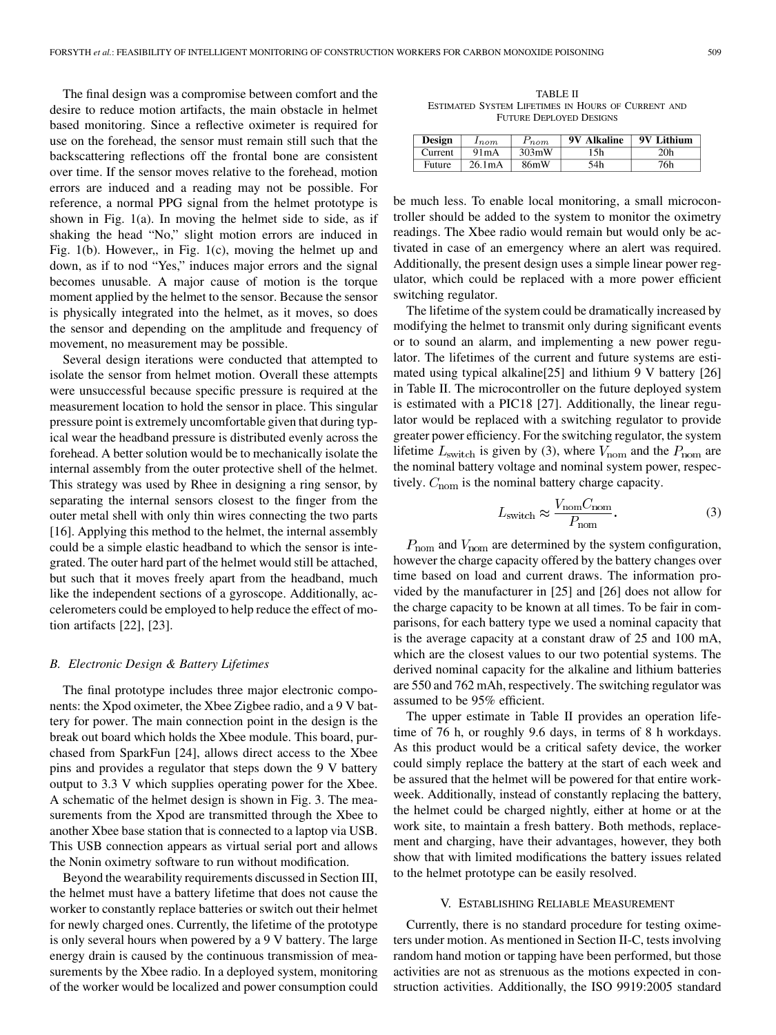The final design was a compromise between comfort and the desire to reduce motion artifacts, the main obstacle in helmet based monitoring. Since a reflective oximeter is required for use on the forehead, the sensor must remain still such that the backscattering reflections off the frontal bone are consistent over time. If the sensor moves relative to the forehead, motion errors are induced and a reading may not be possible. For reference, a normal PPG signal from the helmet prototype is shown in Fig. 1(a). In moving the helmet side to side, as if shaking the head "No," slight motion errors are induced in Fig. 1(b). However,, in Fig. 1(c), moving the helmet up and down, as if to nod "Yes," induces major errors and the signal becomes unusable. A major cause of motion is the torque moment applied by the helmet to the sensor. Because the sensor is physically integrated into the helmet, as it moves, so does the sensor and depending on the amplitude and frequency of movement, no measurement may be possible.

Several design iterations were conducted that attempted to isolate the sensor from helmet motion. Overall these attempts were unsuccessful because specific pressure is required at the measurement location to hold the sensor in place. This singular pressure point is extremely uncomfortable given that during typical wear the headband pressure is distributed evenly across the forehead. A better solution would be to mechanically isolate the internal assembly from the outer protective shell of the helmet. This strategy was used by Rhee in designing a ring sensor, by separating the internal sensors closest to the finger from the outer metal shell with only thin wires connecting the two parts [16]. Applying this method to the helmet, the internal assembly could be a simple elastic headband to which the sensor is integrated. The outer hard part of the helmet would still be attached, but such that it moves freely apart from the headband, much like the independent sections of a gyroscope. Additionally, accelerometers could be employed to help reduce the effect of motion artifacts [22], [23].

#### *B. Electronic Design & Battery Lifetimes*

The final prototype includes three major electronic components: the Xpod oximeter, the Xbee Zigbee radio, and a 9 V battery for power. The main connection point in the design is the break out board which holds the Xbee module. This board, purchased from SparkFun [24], allows direct access to the Xbee pins and provides a regulator that steps down the 9 V battery output to 3.3 V which supplies operating power for the Xbee. A schematic of the helmet design is shown in Fig. 3. The measurements from the Xpod are transmitted through the Xbee to another Xbee base station that is connected to a laptop via USB. This USB connection appears as virtual serial port and allows the Nonin oximetry software to run without modification.

Beyond the wearability requirements discussed in Section III, the helmet must have a battery lifetime that does not cause the worker to constantly replace batteries or switch out their helmet for newly charged ones. Currently, the lifetime of the prototype is only several hours when powered by a 9 V battery. The large energy drain is caused by the continuous transmission of measurements by the Xbee radio. In a deployed system, monitoring of the worker would be localized and power consumption could

TABLE II ESTIMATED SYSTEM LIFETIMES IN HOURS OF CURRENT AND FUTURE DEPLOYED DESIGNS

| <b>Design</b> | Inom              | $r_{nom}$ | 9V Alkaline | 9V Lithium |
|---------------|-------------------|-----------|-------------|------------|
| Current       | 91 <sub>m</sub> A | 303mW     | 15h.        | 20h        |
| <b>Future</b> | $26.1m$ A         | 86mW      | 54h         | 76h        |

be much less. To enable local monitoring, a small microcontroller should be added to the system to monitor the oximetry readings. The Xbee radio would remain but would only be activated in case of an emergency where an alert was required. Additionally, the present design uses a simple linear power regulator, which could be replaced with a more power efficient switching regulator.

The lifetime of the system could be dramatically increased by modifying the helmet to transmit only during significant events or to sound an alarm, and implementing a new power regulator. The lifetimes of the current and future systems are estimated using typical alkaline[25] and lithium 9 V battery [26] in Table II. The microcontroller on the future deployed system is estimated with a PIC18 [27]. Additionally, the linear regulator would be replaced with a switching regulator to provide greater power efficiency. For the switching regulator, the system lifetime  $L_{\text{switch}}$  is given by (3), where  $V_{\text{nom}}$  and the  $P_{\text{nom}}$  are the nominal battery voltage and nominal system power, respectively.  $C_{\text{nom}}$  is the nominal battery charge capacity.

$$
L_{\text{switch}} \approx \frac{V_{\text{nom}} C_{\text{nom}}}{P_{\text{nom}}}.\tag{3}
$$

 $P_{\text{nom}}$  and  $V_{\text{nom}}$  are determined by the system configuration, however the charge capacity offered by the battery changes over time based on load and current draws. The information provided by the manufacturer in [25] and [26] does not allow for the charge capacity to be known at all times. To be fair in comparisons, for each battery type we used a nominal capacity that is the average capacity at a constant draw of 25 and 100 mA, which are the closest values to our two potential systems. The derived nominal capacity for the alkaline and lithium batteries are 550 and 762 mAh, respectively. The switching regulator was assumed to be 95% efficient.

The upper estimate in Table II provides an operation lifetime of 76 h, or roughly 9.6 days, in terms of 8 h workdays. As this product would be a critical safety device, the worker could simply replace the battery at the start of each week and be assured that the helmet will be powered for that entire workweek. Additionally, instead of constantly replacing the battery, the helmet could be charged nightly, either at home or at the work site, to maintain a fresh battery. Both methods, replacement and charging, have their advantages, however, they both show that with limited modifications the battery issues related to the helmet prototype can be easily resolved.

## V. ESTABLISHING RELIABLE MEASUREMENT

Currently, there is no standard procedure for testing oximeters under motion. As mentioned in Section II-C, tests involving random hand motion or tapping have been performed, but those activities are not as strenuous as the motions expected in construction activities. Additionally, the ISO 9919:2005 standard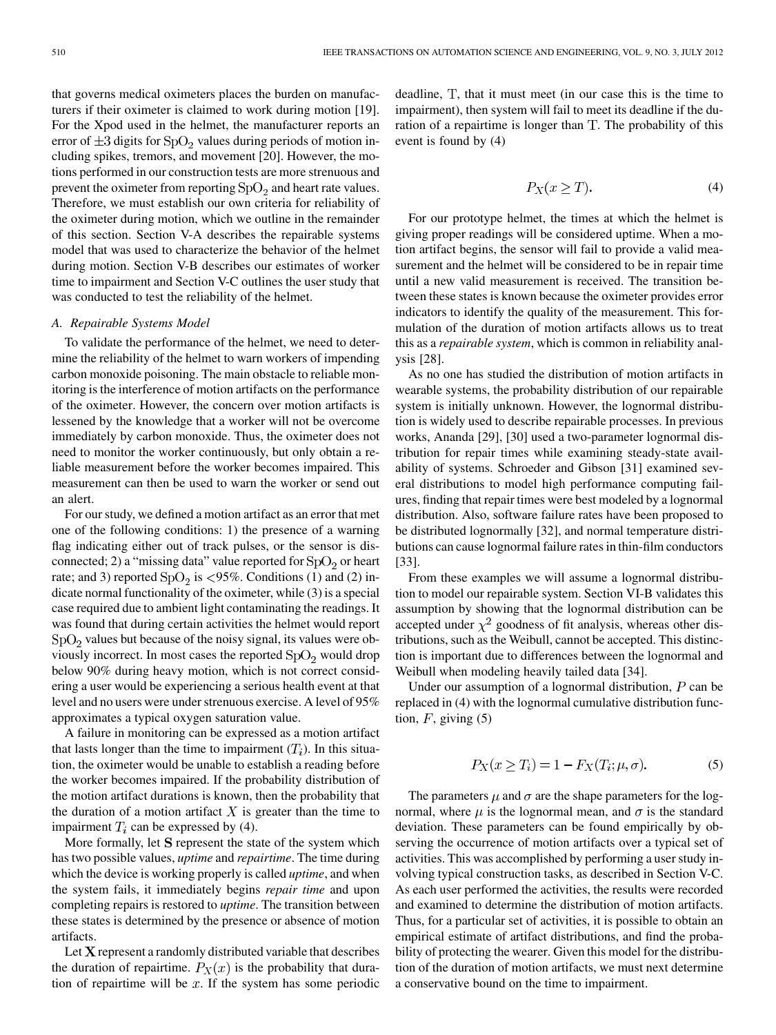that governs medical oximeters places the burden on manufacturers if their oximeter is claimed to work during motion [19]. For the Xpod used in the helmet, the manufacturer reports an error of  $\pm 3$  digits for  $SpO<sub>2</sub>$  values during periods of motion including spikes, tremors, and movement [20]. However, the motions performed in our construction tests are more strenuous and prevent the oximeter from reporting  $SpO<sub>2</sub>$  and heart rate values. Therefore, we must establish our own criteria for reliability of the oximeter during motion, which we outline in the remainder of this section. Section V-A describes the repairable systems model that was used to characterize the behavior of the helmet during motion. Section V-B describes our estimates of worker time to impairment and Section V-C outlines the user study that was conducted to test the reliability of the helmet.

## *A. Repairable Systems Model*

To validate the performance of the helmet, we need to determine the reliability of the helmet to warn workers of impending carbon monoxide poisoning. The main obstacle to reliable monitoring is the interference of motion artifacts on the performance of the oximeter. However, the concern over motion artifacts is lessened by the knowledge that a worker will not be overcome immediately by carbon monoxide. Thus, the oximeter does not need to monitor the worker continuously, but only obtain a reliable measurement before the worker becomes impaired. This measurement can then be used to warn the worker or send out an alert.

For our study, we defined a motion artifact as an error that met one of the following conditions: 1) the presence of a warning flag indicating either out of track pulses, or the sensor is disconnected; 2) a "missing data" value reported for  $SpO<sub>2</sub>$  or heart rate; and 3) reported  $SpO<sub>2</sub>$  is <95%. Conditions (1) and (2) indicate normal functionality of the oximeter, while (3) is a special case required due to ambient light contaminating the readings. It was found that during certain activities the helmet would report  $SpO<sub>2</sub>$  values but because of the noisy signal, its values were obviously incorrect. In most cases the reported  $SpO<sub>2</sub>$  would drop below 90% during heavy motion, which is not correct considering a user would be experiencing a serious health event at that level and no users were under strenuous exercise. A level of 95% approximates a typical oxygen saturation value.

A failure in monitoring can be expressed as a motion artifact that lasts longer than the time to impairment  $(T_i)$ . In this situation, the oximeter would be unable to establish a reading before the worker becomes impaired. If the probability distribution of the motion artifact durations is known, then the probability that the duration of a motion artifact  $X$  is greater than the time to impairment  $T_i$  can be expressed by (4).

More formally, let  $S$  represent the state of the system which has two possible values, *uptime* and *repairtime*. The time during which the device is working properly is called *uptime*, and when the system fails, it immediately begins *repair time* and upon completing repairs is restored to *uptime*. The transition between these states is determined by the presence or absence of motion artifacts.

Let  $X$  represent a randomly distributed variable that describes the duration of repairtime.  $P_X(x)$  is the probability that duration of repairtime will be  $x$ . If the system has some periodic

deadline,  $T$ , that it must meet (in our case this is the time to impairment), then system will fail to meet its deadline if the duration of a repairtime is longer than  $T$ . The probability of this event is found by (4)

$$
P_X(x \ge T). \tag{4}
$$

For our prototype helmet, the times at which the helmet is giving proper readings will be considered uptime. When a motion artifact begins, the sensor will fail to provide a valid measurement and the helmet will be considered to be in repair time until a new valid measurement is received. The transition between these states is known because the oximeter provides error indicators to identify the quality of the measurement. This formulation of the duration of motion artifacts allows us to treat this as a *repairable system*, which is common in reliability analysis [28].

As no one has studied the distribution of motion artifacts in wearable systems, the probability distribution of our repairable system is initially unknown. However, the lognormal distribution is widely used to describe repairable processes. In previous works, Ananda [29], [30] used a two-parameter lognormal distribution for repair times while examining steady-state availability of systems. Schroeder and Gibson [31] examined several distributions to model high performance computing failures, finding that repair times were best modeled by a lognormal distribution. Also, software failure rates have been proposed to be distributed lognormally [32], and normal temperature distributions can cause lognormal failure rates in thin-film conductors [33].

From these examples we will assume a lognormal distribution to model our repairable system. Section VI-B validates this assumption by showing that the lognormal distribution can be accepted under  $\chi^2$  goodness of fit analysis, whereas other distributions, such as the Weibull, cannot be accepted. This distinction is important due to differences between the lognormal and Weibull when modeling heavily tailed data [34].

Under our assumption of a lognormal distribution,  $P$  can be replaced in (4) with the lognormal cumulative distribution function,  $F$ , giving  $(5)$ 

$$
P_X(x \ge T_i) = 1 - F_X(T_i; \mu, \sigma). \tag{5}
$$

The parameters  $\mu$  and  $\sigma$  are the shape parameters for the lognormal, where  $\mu$  is the lognormal mean, and  $\sigma$  is the standard deviation. These parameters can be found empirically by observing the occurrence of motion artifacts over a typical set of activities. This was accomplished by performing a user study involving typical construction tasks, as described in Section V-C. As each user performed the activities, the results were recorded and examined to determine the distribution of motion artifacts. Thus, for a particular set of activities, it is possible to obtain an empirical estimate of artifact distributions, and find the probability of protecting the wearer. Given this model for the distribution of the duration of motion artifacts, we must next determine a conservative bound on the time to impairment.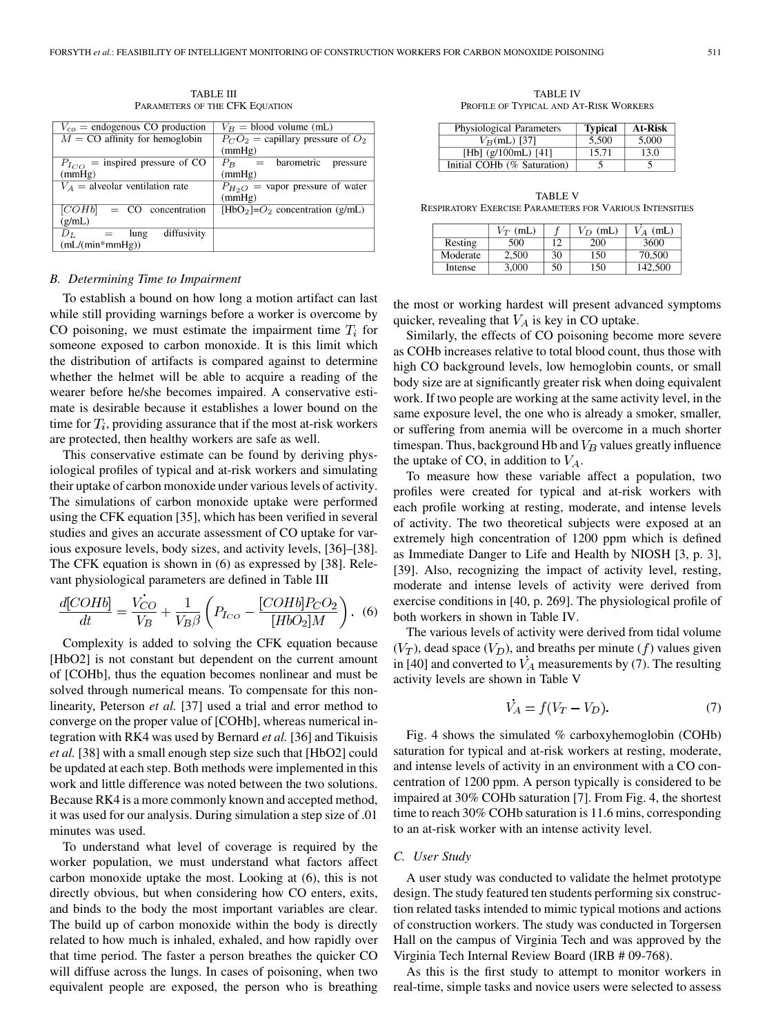| $V_{co}$ = endogenous CO production    | $V_B =$ blood volume (mL)                       |  |  |
|----------------------------------------|-------------------------------------------------|--|--|
| $M = CO$ affinity for hemoglobin       | $P_C O_2$ = capillary pressure of $O_2$         |  |  |
|                                        | (mmHg)                                          |  |  |
| $P_{I_{CO}}$ = inspired pressure of CO | = barometric<br>$P_B$<br>pressure               |  |  |
| (mmHg)                                 | (mmHg)                                          |  |  |
| $V_A$ = alveolar ventilation rate      | $P_{H_2O}$ = vapor pressure of water<br>(mmHg)  |  |  |
| COHb<br>$=$ CO concentration           | [HbO <sub>2</sub> ]= $O_2$ concentration (g/mL) |  |  |
| (g/mL)                                 |                                                 |  |  |
| diffusivity<br>lung<br>$D_{L}$<br>$=$  |                                                 |  |  |
| $(mL/(min*mmHg))$                      |                                                 |  |  |

TABLE III PARAMETERS OF THE CFK EQUATION

## *B. Determining Time to Impairment*

To establish a bound on how long a motion artifact can last while still providing warnings before a worker is overcome by CO poisoning, we must estimate the impairment time  $T_i$  for someone exposed to carbon monoxide. It is this limit which the distribution of artifacts is compared against to determine whether the helmet will be able to acquire a reading of the wearer before he/she becomes impaired. A conservative estimate is desirable because it establishes a lower bound on the time for  $T_i$ , providing assurance that if the most at-risk workers are protected, then healthy workers are safe as well.

This conservative estimate can be found by deriving physiological profiles of typical and at-risk workers and simulating their uptake of carbon monoxide under various levels of activity. The simulations of carbon monoxide uptake were performed using the CFK equation [35], which has been verified in several studies and gives an accurate assessment of CO uptake for various exposure levels, body sizes, and activity levels, [36]–[38]. The CFK equation is shown in (6) as expressed by [38]. Relevant physiological parameters are defined in Table III

$$
\frac{d[COHb]}{dt} = \frac{V_{CO}}{V_B} + \frac{1}{V_B \beta} \left( P_{I_{CO}} - \frac{[COHb]P_C O_2}{[HbO_2]M} \right). (6)
$$

Complexity is added to solving the CFK equation because [HbO2] is not constant but dependent on the current amount of [COHb], thus the equation becomes nonlinear and must be solved through numerical means. To compensate for this nonlinearity, Peterson *et al.* [37] used a trial and error method to converge on the proper value of [COHb], whereas numerical integration with RK4 was used by Bernard *et al.* [36] and Tikuisis *et al.* [38] with a small enough step size such that [HbO2] could be updated at each step. Both methods were implemented in this work and little difference was noted between the two solutions. Because RK4 is a more commonly known and accepted method, it was used for our analysis. During simulation a step size of .01 minutes was used.

To understand what level of coverage is required by the worker population, we must understand what factors affect carbon monoxide uptake the most. Looking at (6), this is not directly obvious, but when considering how CO enters, exits, and binds to the body the most important variables are clear. The build up of carbon monoxide within the body is directly related to how much is inhaled, exhaled, and how rapidly over that time period. The faster a person breathes the quicker CO will diffuse across the lungs. In cases of poisoning, when two equivalent people are exposed, the person who is breathing

TABLE IV PROFILE OF TYPICAL AND AT-RISK WORKERS

| Physiological Parameters    | <b>Typical</b> | <b>At-Risk</b> |
|-----------------------------|----------------|----------------|
| $V_B$ (mL) [37]             | 5.500          | 5,000          |
| [Hb] $(g/100mL)$ [41]       | 15.71          | 13.0           |
| Initial COHb (% Saturation) |                |                |

TABLE V RESPIRATORY EXERCISE PARAMETERS FOR VARIOUS INTENSITIES

|          | $V_T$ (mL) |    | $V_D$ (mL) | (mL)<br>$V_{A}$ . |
|----------|------------|----|------------|-------------------|
| Resting  | 500        | 12 | 200        | 3600              |
| Moderate | 2,500      | 30 | 150        | 70,500            |
| Intense  | 3,000      | 50 | 150        | 142,500           |

the most or working hardest will present advanced symptoms quicker, revealing that  $V_A$  is key in CO uptake.

Similarly, the effects of CO poisoning become more severe as COHb increases relative to total blood count, thus those with high CO background levels, low hemoglobin counts, or small body size are at significantly greater risk when doing equivalent work. If two people are working at the same activity level, in the same exposure level, the one who is already a smoker, smaller, or suffering from anemia will be overcome in a much shorter timespan. Thus, background Hb and  $V_B$  values greatly influence the uptake of CO, in addition to  $V_A$ .

To measure how these variable affect a population, two profiles were created for typical and at-risk workers with each profile working at resting, moderate, and intense levels of activity. The two theoretical subjects were exposed at an extremely high concentration of 1200 ppm which is defined as Immediate Danger to Life and Health by NIOSH [3, p. 3], [39]. Also, recognizing the impact of activity level, resting, moderate and intense levels of activity were derived from exercise conditions in [40, p. 269]. The physiological profile of both workers in shown in Table IV.

The various levels of activity were derived from tidal volume  $(V_T)$ , dead space  $(V_D)$ , and breaths per minute  $(f)$  values given in [40] and converted to  $\dot{V}_A$  measurements by (7). The resulting activity levels are shown in Table V

$$
\dot{V}_A = f(V_T - V_D). \tag{7}
$$

Fig. 4 shows the simulated  $%$  carboxyhemoglobin (COHb) saturation for typical and at-risk workers at resting, moderate, and intense levels of activity in an environment with a CO concentration of 1200 ppm. A person typically is considered to be impaired at 30% COHb saturation [7]. From Fig. 4, the shortest time to reach 30% COHb saturation is 11.6 mins, corresponding to an at-risk worker with an intense activity level.

## *C. User Study*

A user study was conducted to validate the helmet prototype design. The study featured ten students performing six construction related tasks intended to mimic typical motions and actions of construction workers. The study was conducted in Torgersen Hall on the campus of Virginia Tech and was approved by the Virginia Tech Internal Review Board (IRB # 09-768).

As this is the first study to attempt to monitor workers in real-time, simple tasks and novice users were selected to assess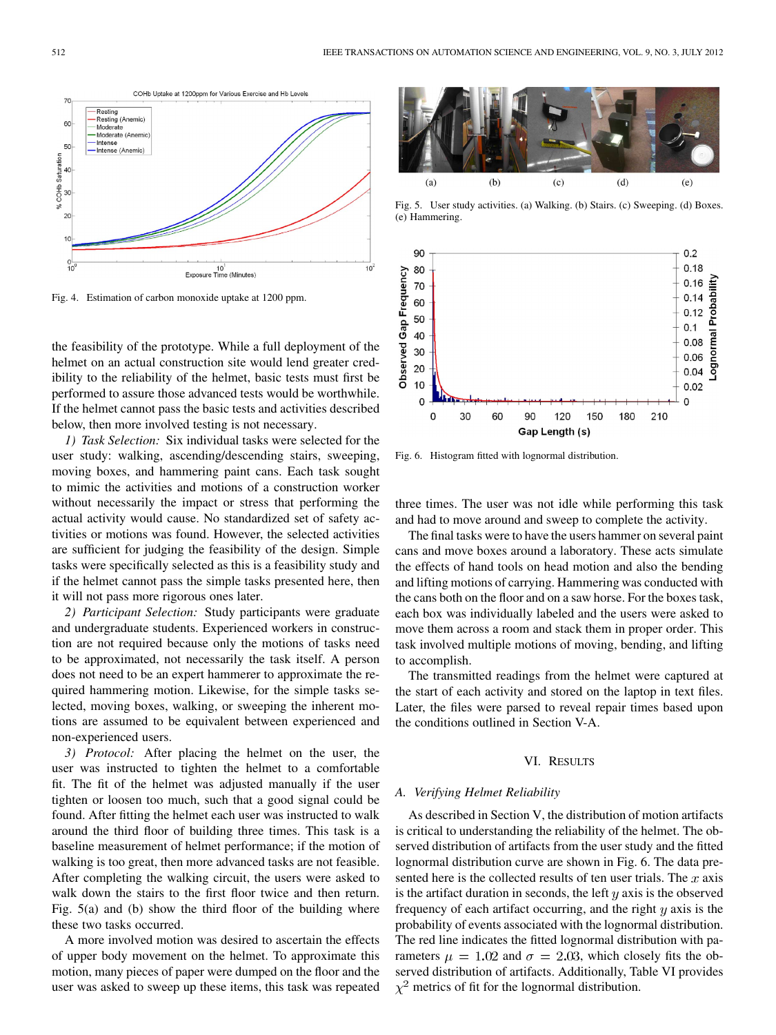

Fig. 4. Estimation of carbon monoxide uptake at 1200 ppm.

the feasibility of the prototype. While a full deployment of the helmet on an actual construction site would lend greater credibility to the reliability of the helmet, basic tests must first be performed to assure those advanced tests would be worthwhile. If the helmet cannot pass the basic tests and activities described below, then more involved testing is not necessary.

*1) Task Selection:* Six individual tasks were selected for the user study: walking, ascending/descending stairs, sweeping, moving boxes, and hammering paint cans. Each task sought to mimic the activities and motions of a construction worker without necessarily the impact or stress that performing the actual activity would cause. No standardized set of safety activities or motions was found. However, the selected activities are sufficient for judging the feasibility of the design. Simple tasks were specifically selected as this is a feasibility study and if the helmet cannot pass the simple tasks presented here, then it will not pass more rigorous ones later.

*2) Participant Selection:* Study participants were graduate and undergraduate students. Experienced workers in construction are not required because only the motions of tasks need to be approximated, not necessarily the task itself. A person does not need to be an expert hammerer to approximate the required hammering motion. Likewise, for the simple tasks selected, moving boxes, walking, or sweeping the inherent motions are assumed to be equivalent between experienced and non-experienced users.

*3) Protocol:* After placing the helmet on the user, the user was instructed to tighten the helmet to a comfortable fit. The fit of the helmet was adjusted manually if the user tighten or loosen too much, such that a good signal could be found. After fitting the helmet each user was instructed to walk around the third floor of building three times. This task is a baseline measurement of helmet performance; if the motion of walking is too great, then more advanced tasks are not feasible. After completing the walking circuit, the users were asked to walk down the stairs to the first floor twice and then return. Fig. 5(a) and (b) show the third floor of the building where these two tasks occurred.

A more involved motion was desired to ascertain the effects of upper body movement on the helmet. To approximate this motion, many pieces of paper were dumped on the floor and the user was asked to sweep up these items, this task was repeated



Fig. 5. User study activities. (a) Walking. (b) Stairs. (c) Sweeping. (d) Boxes. (e) Hammering.



Fig. 6. Histogram fitted with lognormal distribution.

three times. The user was not idle while performing this task and had to move around and sweep to complete the activity.

The final tasks were to have the users hammer on several paint cans and move boxes around a laboratory. These acts simulate the effects of hand tools on head motion and also the bending and lifting motions of carrying. Hammering was conducted with the cans both on the floor and on a saw horse. For the boxes task, each box was individually labeled and the users were asked to move them across a room and stack them in proper order. This task involved multiple motions of moving, bending, and lifting to accomplish.

The transmitted readings from the helmet were captured at the start of each activity and stored on the laptop in text files. Later, the files were parsed to reveal repair times based upon the conditions outlined in Section V-A.

## VI. RESULTS

#### *A. Verifying Helmet Reliability*

As described in Section V, the distribution of motion artifacts is critical to understanding the reliability of the helmet. The observed distribution of artifacts from the user study and the fitted lognormal distribution curve are shown in Fig. 6. The data presented here is the collected results of ten user trials. The  $x$  axis is the artifact duration in seconds, the left  $\gamma$  axis is the observed frequency of each artifact occurring, and the right  $y$  axis is the probability of events associated with the lognormal distribution. The red line indicates the fitted lognormal distribution with parameters  $\mu = 1.02$  and  $\sigma = 2.03$ , which closely fits the observed distribution of artifacts. Additionally, Table VI provides  $\chi^2$  metrics of fit for the lognormal distribution.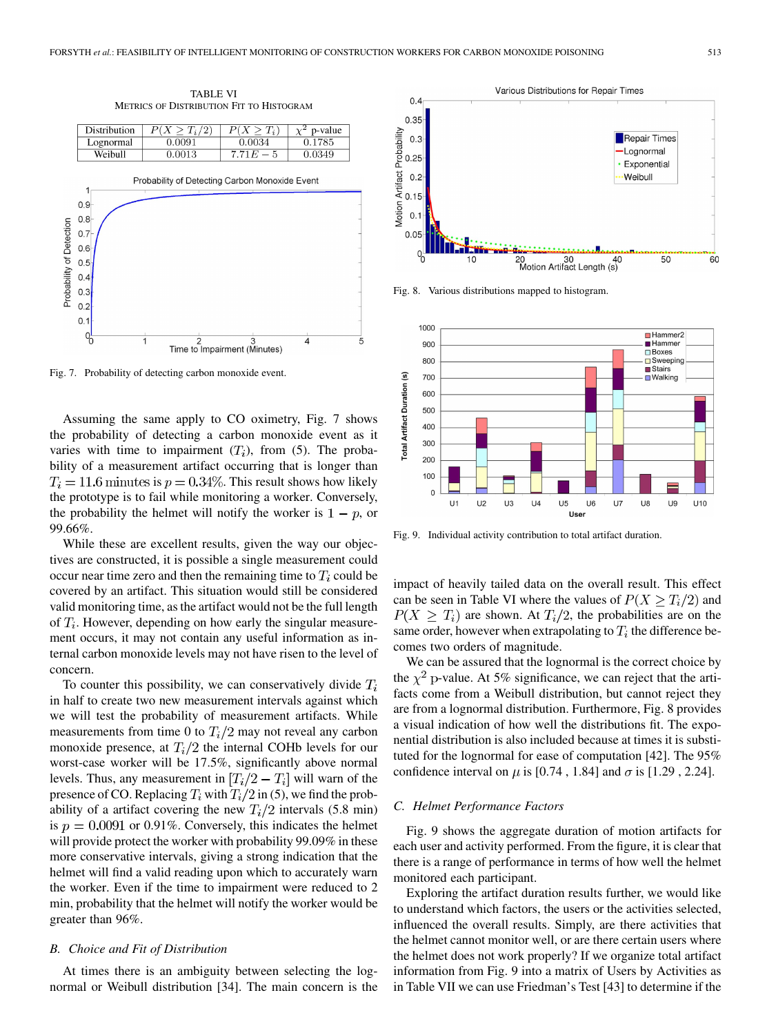TABLE VI METRICS OF DISTRIBUTION FIT TO HISTOGRAM





Fig. 7. Probability of detecting carbon monoxide event.

Assuming the same apply to CO oximetry, Fig. 7 shows the probability of detecting a carbon monoxide event as it varies with time to impairment  $(T_i)$ , from (5). The probability of a measurement artifact occurring that is longer than  $T_i = 11.6$  minutes is  $p = 0.34\%$ . This result shows how likely the prototype is to fail while monitoring a worker. Conversely, the probability the helmet will notify the worker is  $1 - p$ , or 99.66%.

While these are excellent results, given the way our objectives are constructed, it is possible a single measurement could occur near time zero and then the remaining time to  $T_i$  could be covered by an artifact. This situation would still be considered valid monitoring time, as the artifact would not be the full length of  $T_i$ . However, depending on how early the singular measurement occurs, it may not contain any useful information as internal carbon monoxide levels may not have risen to the level of concern.

To counter this possibility, we can conservatively divide  $T_i$ in half to create two new measurement intervals against which we will test the probability of measurement artifacts. While measurements from time 0 to  $T_i/2$  may not reveal any carbon monoxide presence, at  $T_i/2$  the internal COHb levels for our worst-case worker will be 17.5%, significantly above normal levels. Thus, any measurement in  $[T_i/2 - T_i]$  will warn of the presence of CO. Replacing  $T_i$  with  $T_i/2$  in (5), we find the probability of a artifact covering the new  $T_i/2$  intervals (5.8 min) is  $p = 0.0091$  or 0.91%. Conversely, this indicates the helmet will provide protect the worker with probability 99.09% in these more conservative intervals, giving a strong indication that the helmet will find a valid reading upon which to accurately warn the worker. Even if the time to impairment were reduced to 2 min, probability that the helmet will notify the worker would be greater than 96%.

## *B. Choice and Fit of Distribution*

At times there is an ambiguity between selecting the lognormal or Weibull distribution [34]. The main concern is the



Fig. 8. Various distributions mapped to histogram.



Fig. 9. Individual activity contribution to total artifact duration.

impact of heavily tailed data on the overall result. This effect can be seen in Table VI where the values of  $P(X \geq T_i/2)$  and  $P(X \geq T_i)$  are shown. At  $T_i/2$ , the probabilities are on the same order, however when extrapolating to  $T_i$  the difference becomes two orders of magnitude.

We can be assured that the lognormal is the correct choice by the  $\chi^2$  p-value. At 5% significance, we can reject that the artifacts come from a Weibull distribution, but cannot reject they are from a lognormal distribution. Furthermore, Fig. 8 provides a visual indication of how well the distributions fit. The exponential distribution is also included because at times it is substituted for the lognormal for ease of computation [42]. The 95% confidence interval on  $\mu$  is [0.74, 1.84] and  $\sigma$  is [1.29, 2.24].

#### *C. Helmet Performance Factors*

Fig. 9 shows the aggregate duration of motion artifacts for each user and activity performed. From the figure, it is clear that there is a range of performance in terms of how well the helmet monitored each participant.

Exploring the artifact duration results further, we would like to understand which factors, the users or the activities selected, influenced the overall results. Simply, are there activities that the helmet cannot monitor well, or are there certain users where the helmet does not work properly? If we organize total artifact information from Fig. 9 into a matrix of Users by Activities as in Table VII we can use Friedman's Test [43] to determine if the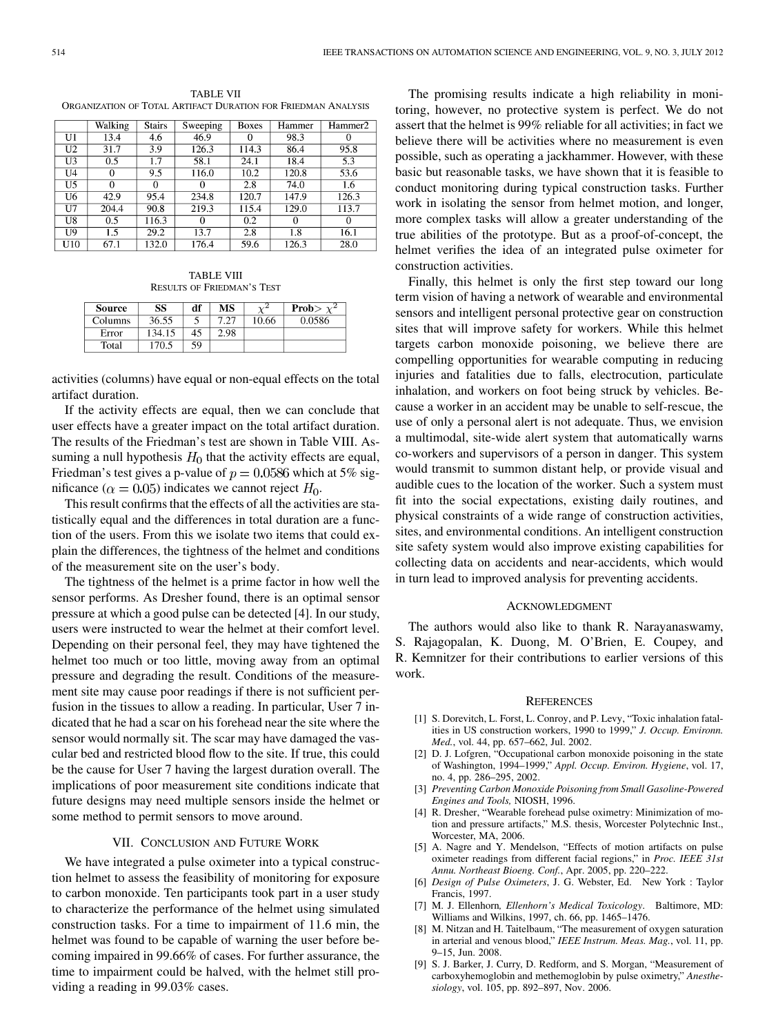Hammer<sub>2</sub> **Walking Stairs** Sweeping **Boxes** Hammer  $\overline{111}$  $13.4$ 4.6  $469$  $\overline{0}$ 98.3  $\overline{0}$  $\overline{U2}$  $\frac{31}{7}$  $\overline{39}$  $126.3$  $114.3$  $86.4$  $958$  $\overline{U}$  $0.5$  $1.7$ 58.1  $\overline{24.1}$ 18.4  $\overline{5.3}$  $10.2$ 53.6  $\overline{U}$  $\overline{0}$  $9.5$ 116.0  $120.8$  $\overline{115}$  $\overline{0}$  $\overline{0}$  $\overline{0}$  $\overline{28}$  $\overline{740}$  $\overline{16}$  $U6$ 42.9  $95.4$ 234.8 120.7  $147.9$  $126.3$  $\overline{204.4}$  $90.8$ 219.3  $115.4$  $129.0$  $113.7$  $\overline{117}$  $\overline{U8}$  $0.5$ 116.3  $\overline{0}$  $0.2$  $\overline{0}$  $\overline{0}$  $\overline{U}9$  $\overline{1.5}$  $29.2$ 13.7  $2.8$  $\overline{1.8}$  $16.1$  $U10$ 67.1 132.0 176.4 59.6 126.3 28.0

TABLE VII ORGANIZATION OF TOTAL ARTIFACT DURATION FOR FRIEDMAN ANALYSIS

TABLE VIII RESULTS OF FRIEDMAN'S TEST

| <b>Source</b> | SS     | df | МS   |       | Prob> $\chi^2$ |
|---------------|--------|----|------|-------|----------------|
| Columns       | 36.55  |    | 7.27 | 10.66 | 0.0586         |
| Error         | 134.15 | 45 | 2.98 |       |                |
| Total         | 170.5  | 59 |      |       |                |

activities (columns) have equal or non-equal effects on the total artifact duration.

If the activity effects are equal, then we can conclude that user effects have a greater impact on the total artifact duration. The results of the Friedman's test are shown in Table VIII. Assuming a null hypothesis  $H_0$  that the activity effects are equal, Friedman's test gives a p-value of  $p = 0.0586$  which at 5% significance ( $\alpha = 0.05$ ) indicates we cannot reject  $H_0$ .

This result confirms that the effects of all the activities are statistically equal and the differences in total duration are a function of the users. From this we isolate two items that could explain the differences, the tightness of the helmet and conditions of the measurement site on the user's body.

The tightness of the helmet is a prime factor in how well the sensor performs. As Dresher found, there is an optimal sensor pressure at which a good pulse can be detected [4]. In our study, users were instructed to wear the helmet at their comfort level. Depending on their personal feel, they may have tightened the helmet too much or too little, moving away from an optimal pressure and degrading the result. Conditions of the measurement site may cause poor readings if there is not sufficient perfusion in the tissues to allow a reading. In particular, User 7 indicated that he had a scar on his forehead near the site where the sensor would normally sit. The scar may have damaged the vascular bed and restricted blood flow to the site. If true, this could be the cause for User 7 having the largest duration overall. The implications of poor measurement site conditions indicate that future designs may need multiple sensors inside the helmet or some method to permit sensors to move around.

# VII. CONCLUSION AND FUTURE WORK

We have integrated a pulse oximeter into a typical construction helmet to assess the feasibility of monitoring for exposure to carbon monoxide. Ten participants took part in a user study to characterize the performance of the helmet using simulated construction tasks. For a time to impairment of 11.6 min, the helmet was found to be capable of warning the user before becoming impaired in 99.66% of cases. For further assurance, the time to impairment could be halved, with the helmet still providing a reading in 99.03% cases.

The promising results indicate a high reliability in monitoring, however, no protective system is perfect. We do not assert that the helmet is 99% reliable for all activities; in fact we believe there will be activities where no measurement is even possible, such as operating a jackhammer. However, with these basic but reasonable tasks, we have shown that it is feasible to conduct monitoring during typical construction tasks. Further work in isolating the sensor from helmet motion, and longer, more complex tasks will allow a greater understanding of the true abilities of the prototype. But as a proof-of-concept, the helmet verifies the idea of an integrated pulse oximeter for construction activities.

Finally, this helmet is only the first step toward our long term vision of having a network of wearable and environmental sensors and intelligent personal protective gear on construction sites that will improve safety for workers. While this helmet targets carbon monoxide poisoning, we believe there are compelling opportunities for wearable computing in reducing injuries and fatalities due to falls, electrocution, particulate inhalation, and workers on foot being struck by vehicles. Because a worker in an accident may be unable to self-rescue, the use of only a personal alert is not adequate. Thus, we envision a multimodal, site-wide alert system that automatically warns co-workers and supervisors of a person in danger. This system would transmit to summon distant help, or provide visual and audible cues to the location of the worker. Such a system must fit into the social expectations, existing daily routines, and physical constraints of a wide range of construction activities, sites, and environmental conditions. An intelligent construction site safety system would also improve existing capabilities for collecting data on accidents and near-accidents, which would in turn lead to improved analysis for preventing accidents.

## ACKNOWLEDGMENT

The authors would also like to thank R. Narayanaswamy, S. Rajagopalan, K. Duong, M. O'Brien, E. Coupey, and R. Kemnitzer for their contributions to earlier versions of this work.

#### **REFERENCES**

- [1] S. Dorevitch, L. Forst, L. Conroy, and P. Levy, "Toxic inhalation fatalities in US construction workers, 1990 to 1999," *J. Occup. Environn. Med.*, vol. 44, pp. 657–662, Jul. 2002.
- [2] D. J. Lofgren, "Occupational carbon monoxide poisoning in the state of Washington, 1994–1999," *Appl. Occup. Environ. Hygiene*, vol. 17, no. 4, pp. 286–295, 2002.
- [3] *Preventing Carbon Monoxide Poisoning from Small Gasoline-Powered Engines and Tools,* NIOSH, 1996.
- [4] R. Dresher, "Wearable forehead pulse oximetry: Minimization of motion and pressure artifacts," M.S. thesis, Worcester Polytechnic Inst., Worcester, MA, 2006.
- [5] A. Nagre and Y. Mendelson, "Effects of motion artifacts on pulse oximeter readings from different facial regions," in *Proc. IEEE 31st Annu. Northeast Bioeng. Conf.*, Apr. 2005, pp. 220–222.
- [6] *Design of Pulse Oximeters*, J. G. Webster, Ed. New York : Taylor Francis, 1997.
- [7] M. J. Ellenhorn*, Ellenhorn's Medical Toxicology*. Baltimore, MD: Williams and Wilkins, 1997, ch. 66, pp. 1465–1476.
- [8] M. Nitzan and H. Taitelbaum, "The measurement of oxygen saturation in arterial and venous blood," *IEEE Instrum. Meas. Mag.*, vol. 11, pp. 9–15, Jun. 2008.
- [9] S. J. Barker, J. Curry, D. Redform, and S. Morgan, "Measurement of carboxyhemoglobin and methemoglobin by pulse oximetry," *Anesthesiology*, vol. 105, pp. 892–897, Nov. 2006.